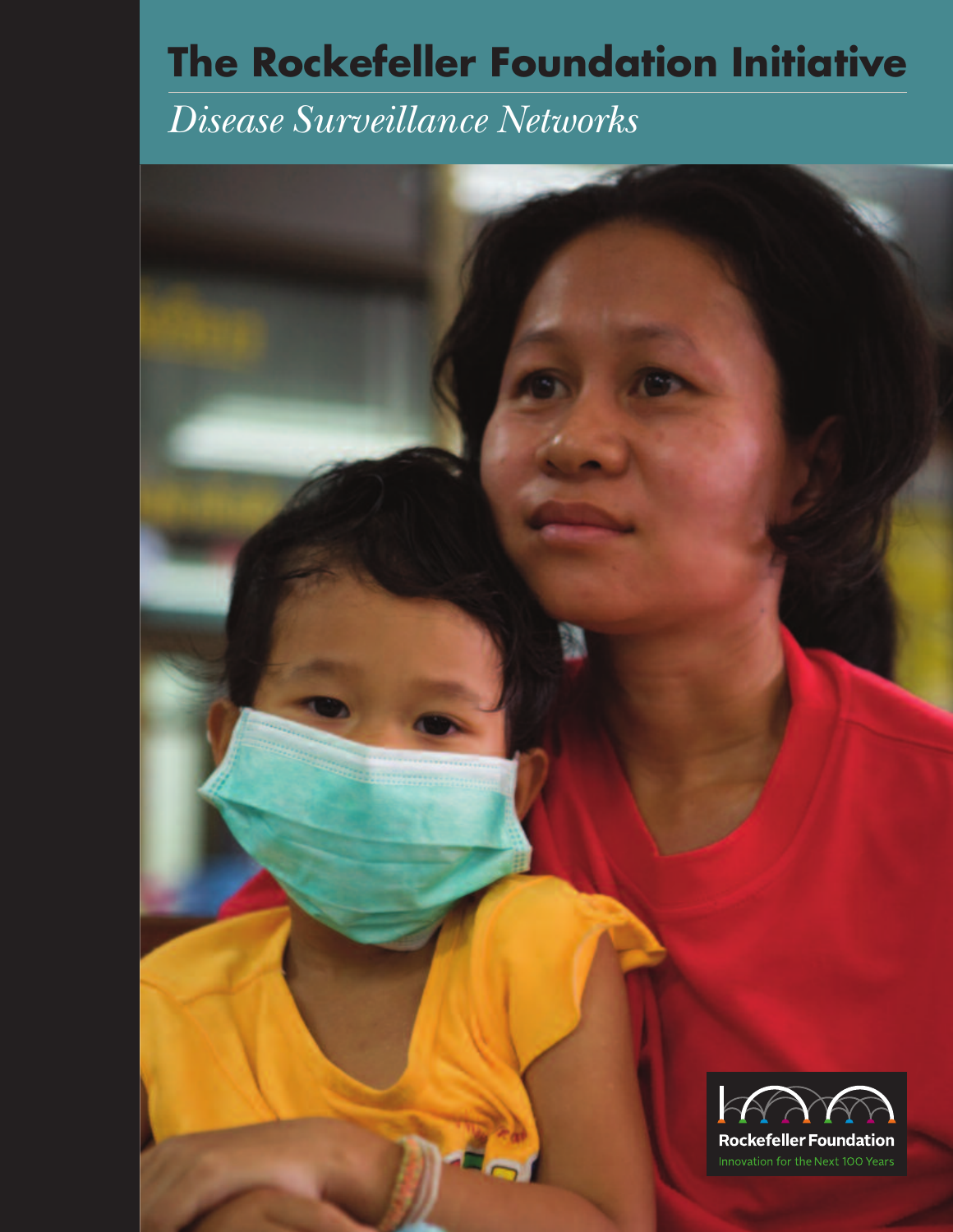## **The Rockefeller Foundation Initiative**

### *Disease Surveillance Networks*

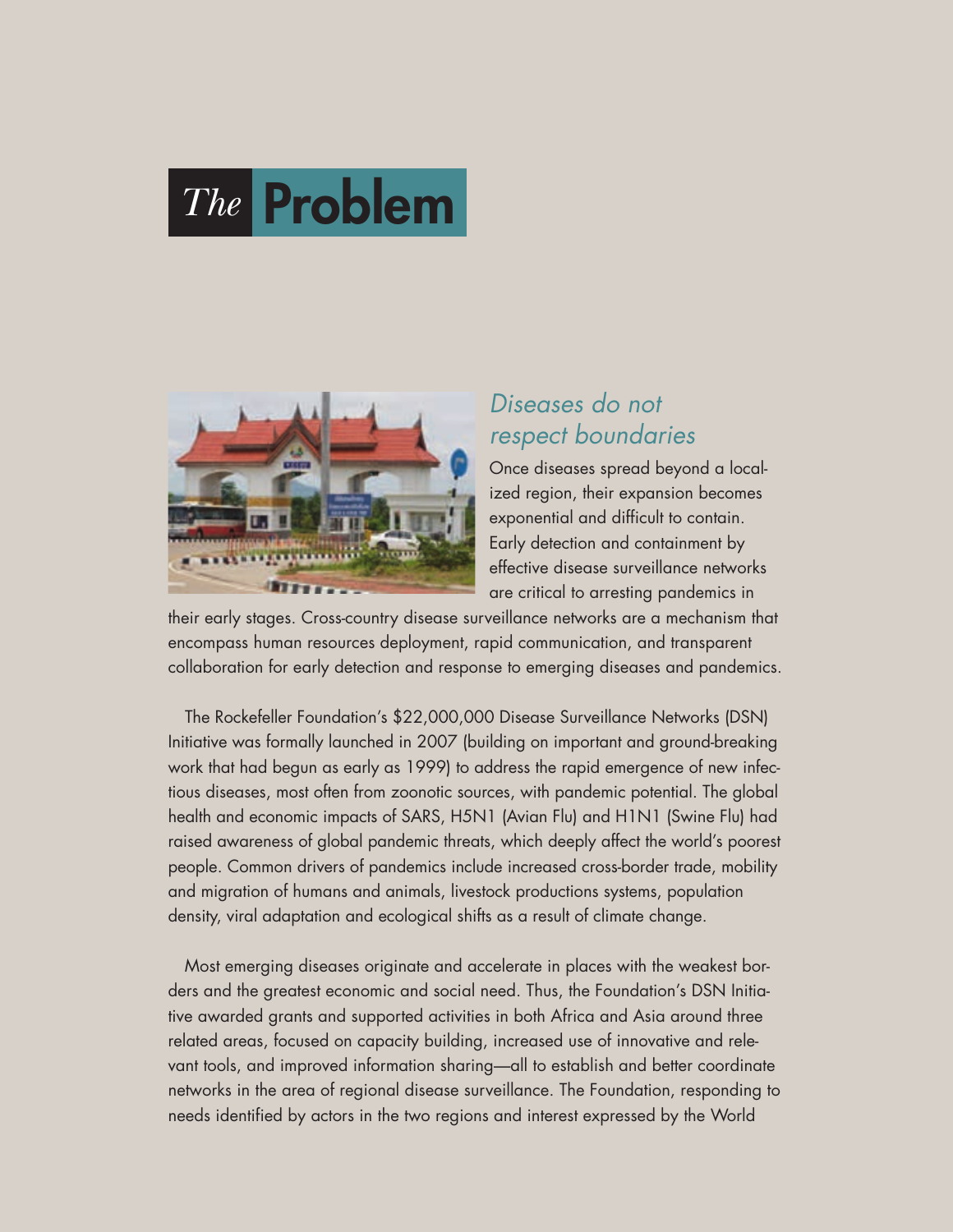# *The* **Problem**



#### *Diseases do not respect boundaries*

Once diseases spread beyond a localized region, their expansion becomes exponential and difficult to contain. Early detection and containment by effective disease surveillance networks are critical to arresting pandemics in

their early stages. Cross-country disease surveillance networks are a mechanism that encompass human resources deployment, rapid communication, and transparent collaboration for early detection and response to emerging diseases and pandemics.

The Rockefeller Foundation's \$22,000,000 Disease Surveillance Networks (DSN) Initiative was formally launched in 2007 (building on important and ground-breaking work that had begun as early as 1999) to address the rapid emergence of new infectious diseases, most often from zoonotic sources, with pandemic potential. The global health and economic impacts of SARS, H5N1 (Avian Flu) and H1N1 (Swine Flu) had raised awareness of global pandemic threats, which deeply affect the world's poorest people. Common drivers of pandemics include increased cross-border trade, mobility and migration of humans and animals, livestock productions systems, population density, viral adaptation and ecological shifts as a result of climate change.

Most emerging diseases originate and accelerate in places with the weakest borders and the greatest economic and social need. Thus, the Foundation's DSN Initiative awarded grants and supported activities in both Africa and Asia around three related areas, focused on capacity building, increased use of innovative and relevant tools, and improved information sharing—all to establish and better coordinate networks in the area of regional disease surveillance. The Foundation, responding to needs identified by actors in the two regions and interest expressed by the World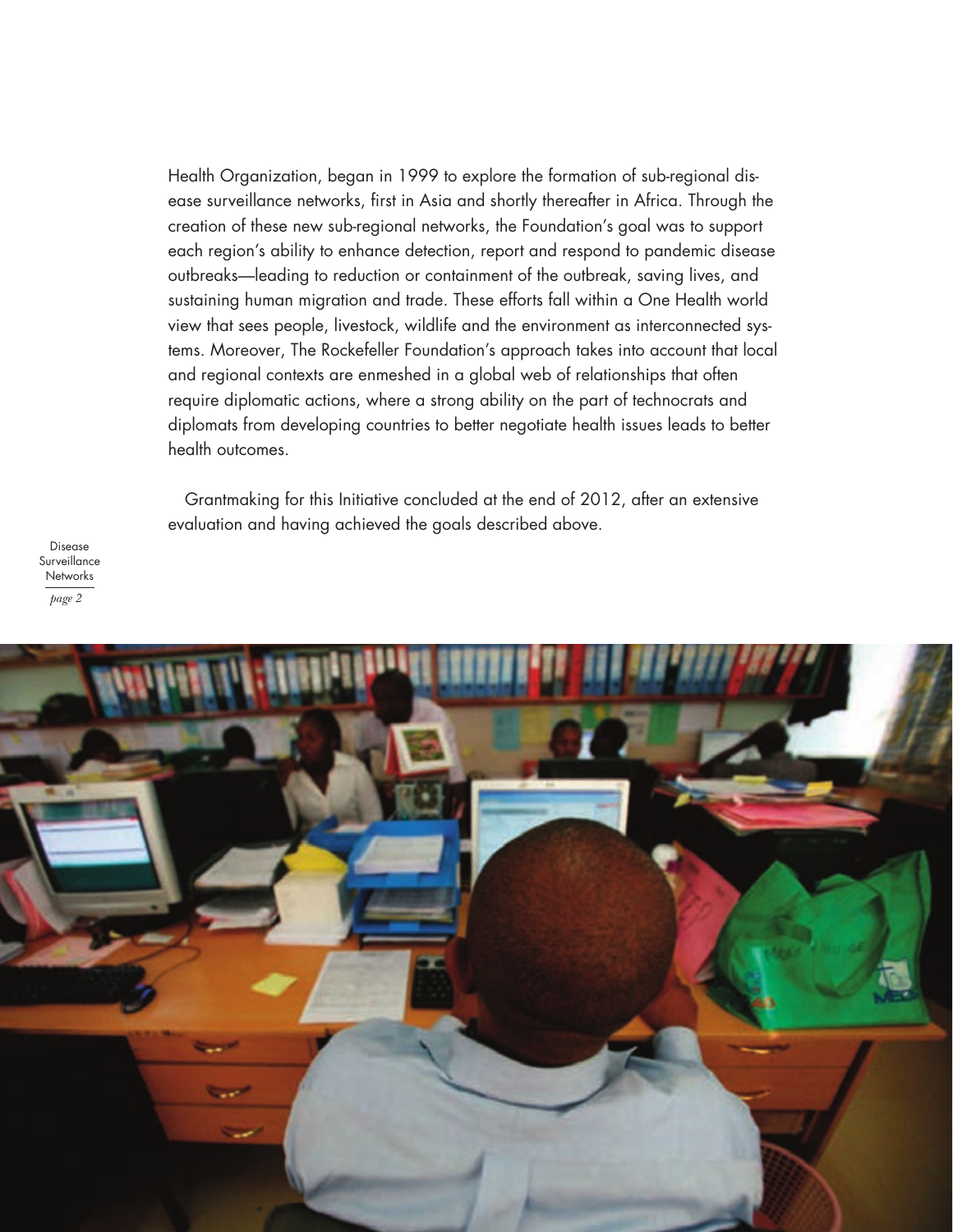Health Organization, began in 1999 to explore the formation of sub-regional disease surveillance networks, first in Asia and shortly thereafter in Africa. Through the creation of these new sub-regional networks, the Foundation's goal was to support each region's ability to enhance detection, report and respond to pandemic disease outbreaks—leading to reduction or containment of the outbreak, saving lives, and sustaining human migration and trade. These efforts fall within a One Health world view that sees people, livestock, wildlife and the environment as interconnected systems. Moreover, The Rockefeller Foundation's approach takes into account that local and regional contexts are enmeshed in a global web of relationships that often require diplomatic actions, where a strong ability on the part of technocrats and diplomats from developing countries to better negotiate health issues leads to better health outcomes.

Grantmaking for this Initiative concluded at the end of 2012, after an extensive evaluation and having achieved the goals described above.

Disease Surveillance **Networks** *page 2*

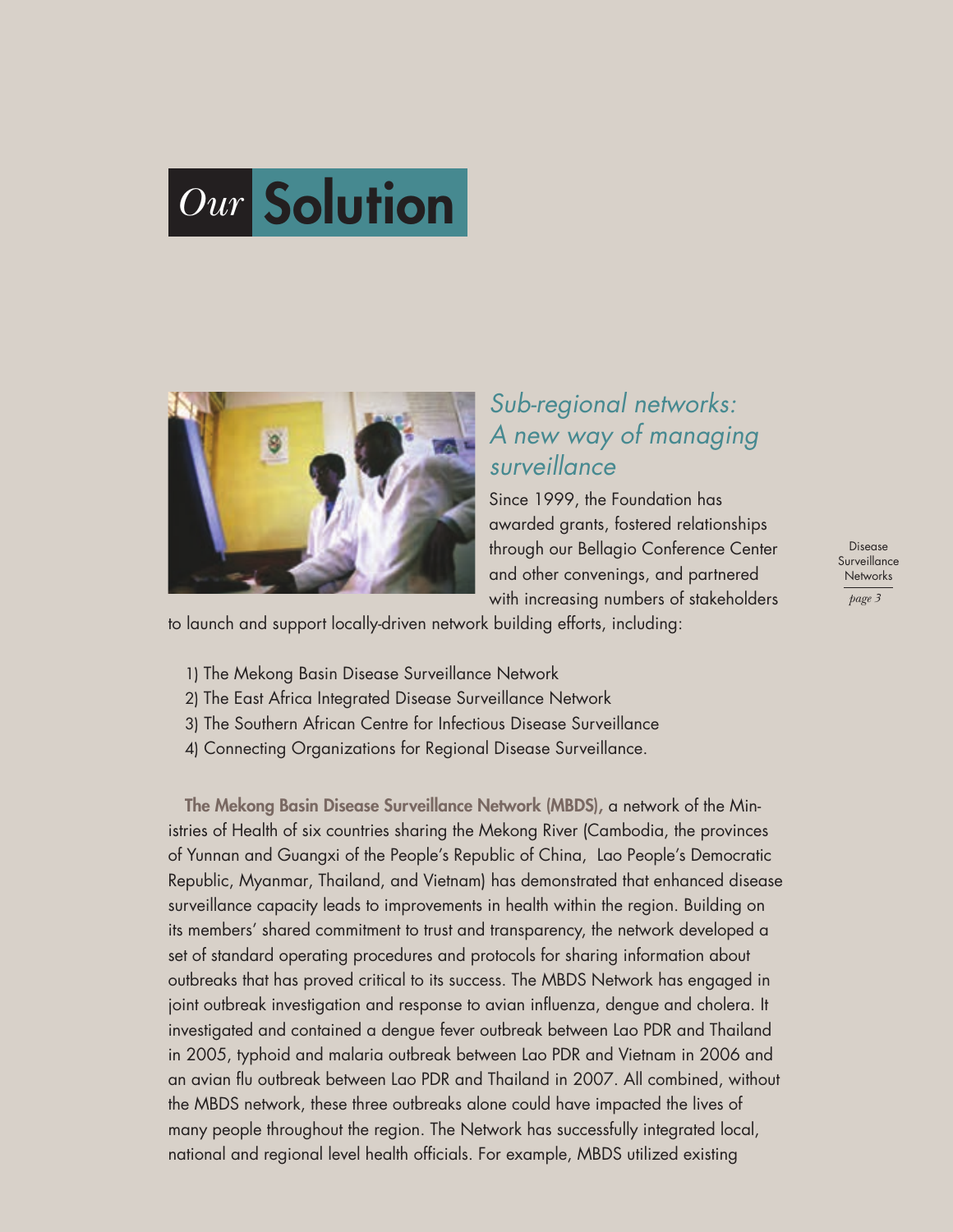



#### *Sub-regional networks: A new way of managing surveillance*

Since 1999, the Foundation has awarded grants, fostered relationships through our Bellagio Conference Center and other convenings, and partnered with increasing numbers of stakeholders

to launch and support locally-driven network building efforts, including:

- 1) The Mekong Basin Disease Surveillance Network
- 2) The East Africa Integrated Disease Surveillance Network
- 3) The Southern African Centre for Infectious Disease Surveillance
- 4) Connecting Organizations for Regional Disease Surveillance.

**The Mekong Basin Disease Surveillance Network (MBDS),** a network of the Ministries of Health of six countries sharing the Mekong River (Cambodia, the provinces of Yunnan and Guangxi of the People's Republic of China, Lao People's Democratic Republic, Myanmar, Thailand, and Vietnam) has demonstrated that enhanced disease surveillance capacity leads to improvements in health within the region. Building on its members' shared commitment to trust and transparency, the network developed a set of standard operating procedures and protocols for sharing information about outbreaks that has proved critical to its success. The MBDS Network has engaged in joint outbreak investigation and response to avian influenza, dengue and cholera. It investigated and contained a dengue fever outbreak between Lao PDR and Thailand in 2005, typhoid and malaria outbreak between Lao PDR and Vietnam in 2006 and an avian flu outbreak between Lao PDR and Thailand in 2007. All combined, without the MBDS network, these three outbreaks alone could have impacted the lives of many people throughout the region. The Network has successfully integrated local, national and regional level health officials. For example, MBDS utilized existing

Disease **Surveillance Networks** *page 3*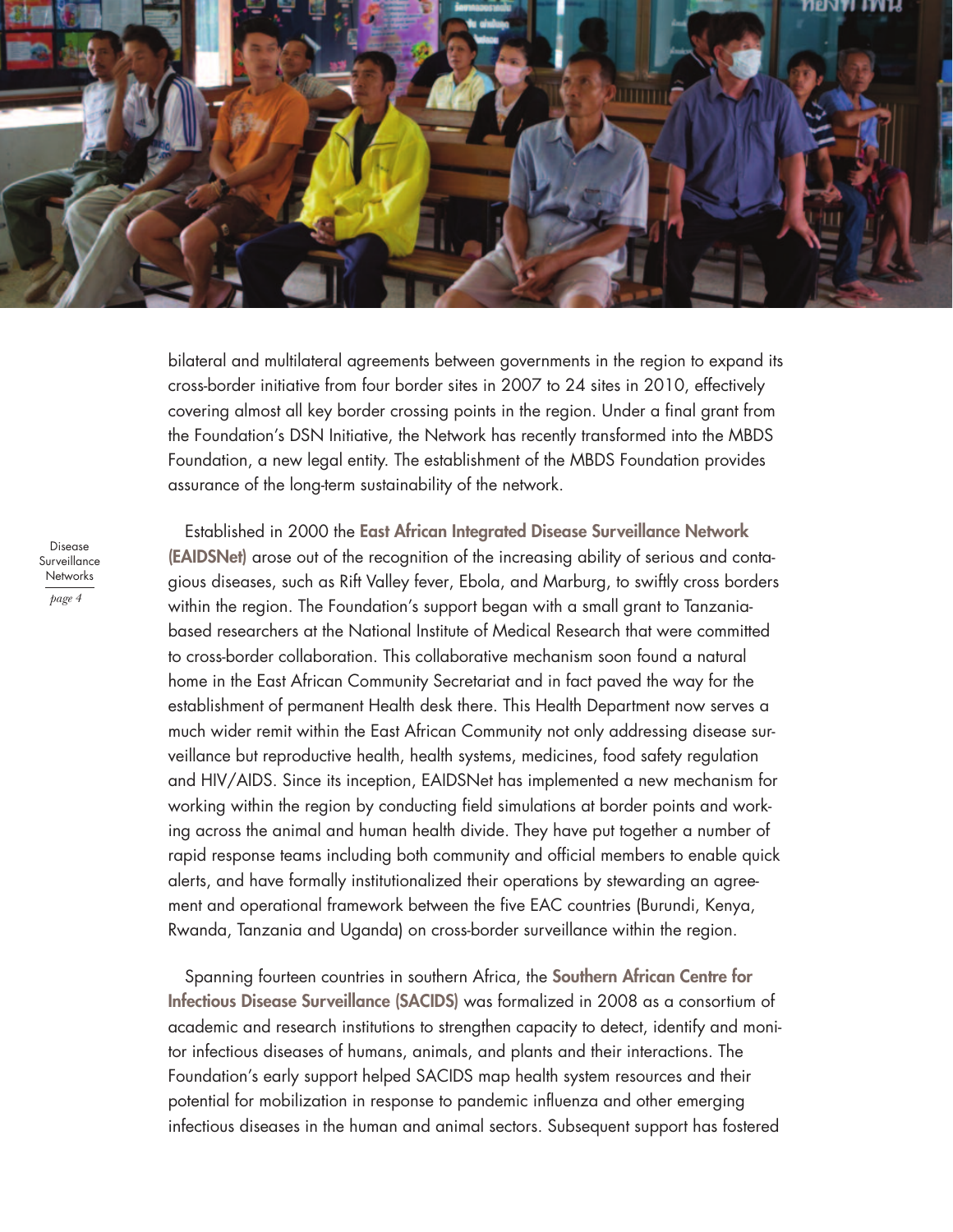

bilateral and multilateral agreements between governments in the region to expand its cross-border initiative from four border sites in 2007 to 24 sites in 2010, effectively covering almost all key border crossing points in the region. Under a final grant from the Foundation's DSN Initiative, the Network has recently transformed into the MBDS Foundation, a new legal entity. The establishment of the MBDS Foundation provides assurance of the long-term sustainability of the network.

Disease Surveillance **Networks** *page 4*

Established in 2000 the **East African Integrated Disease Surveillance Network (EAIDSNet)** arose out of the recognition of the increasing ability of serious and contagious diseases, such as Rift Valley fever, Ebola, and Marburg, to swiftly cross borders within the region. The Foundation's support began with a small grant to Tanzaniabased researchers at the National Institute of Medical Research that were committed to cross-border collaboration. This collaborative mechanism soon found a natural home in the East African Community Secretariat and in fact paved the way for the establishment of permanent Health desk there. This Health Department now serves a much wider remit within the East African Community not only addressing disease surveillance but reproductive health, health systems, medicines, food safety regulation and HIV/AIDS. Since its inception, EAIDSNet has implemented a new mechanism for working within the region by conducting field simulations at border points and working across the animal and human health divide. They have put together a number of rapid response teams including both community and official members to enable quick alerts, and have formally institutionalized their operations by stewarding an agreement and operational framework between the five EAC countries (Burundi, Kenya, Rwanda, Tanzania and Uganda) on cross-border surveillance within the region.

Spanning fourteen countries in southern Africa, the **Southern African Centre for Infectious Disease Surveillance (SACIDS)** was formalized in 2008 as a consortium of academic and research institutions to strengthen capacity to detect, identify and monitor infectious diseases of humans, animals, and plants and their interactions. The Foundation's early support helped SACIDS map health system resources and their potential for mobilization in response to pandemic influenza and other emerging infectious diseases in the human and animal sectors. Subsequent support has fostered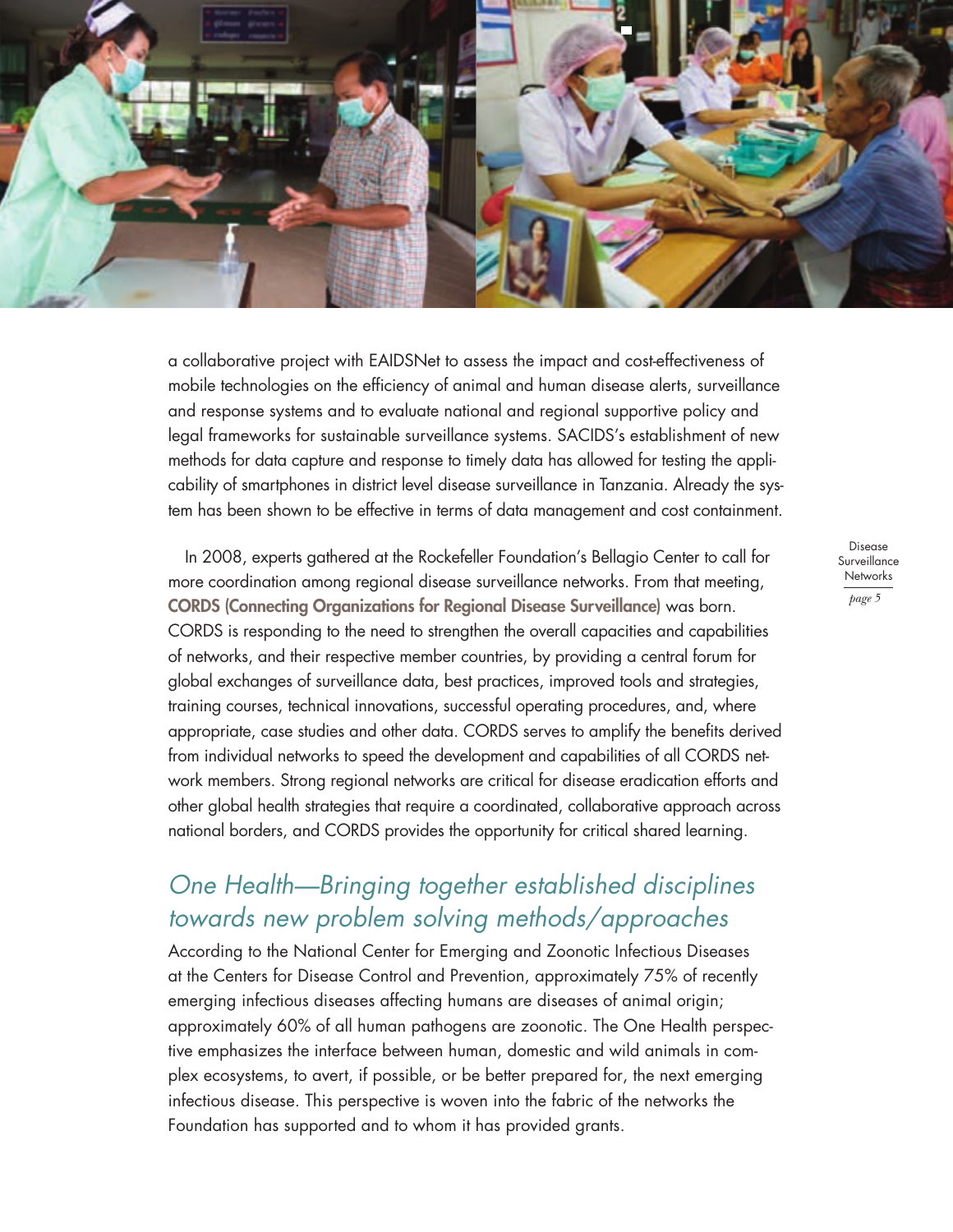

a collaborative project with EAIDSNet to assess the impact and cost-effectiveness of mobile technologies on the efficiency of animal and human disease alerts, surveillance and response systems and to evaluate national and regional supportive policy and legal frameworks for sustainable surveillance systems. SACIDS's establishment of new methods for data capture and response to timely data has allowed for testing the applicability of smartphones in district level disease surveillance in Tanzania. Already the system has been shown to be effective in terms of data management and cost containment.

In 2008, experts gathered at the Rockefeller Foundation's Bellagio Center to call for more coordination among regional disease surveillance networks. From that meeting, **CORDS (Connecting Organizations for Regional Disease Surveillance)** was born. CORDS is responding to the need to strengthen the overall capacities and capabilities of networks, and their respective member countries, by providing a central forum for global exchanges of surveillance data, best practices, improved tools and strategies, training courses, technical innovations, successful operating procedures, and, where appropriate, case studies and other data. CORDS serves to amplify the benefits derived from individual networks to speed the development and capabilities of all CORDS network members. Strong regional networks are critical for disease eradication efforts and other global health strategies that require a coordinated, collaborative approach across national borders, and CORDS provides the opportunity for critical shared learning.

#### *One Health—Bringing together established disciplines towards new problem solving methods/approaches*

According to the National Center for Emerging and Zoonotic Infectious Diseases at the Centers for Disease Control and Prevention, approximately 75% of recently emerging infectious diseases affecting humans are diseases of animal origin; approximately 60% of all human pathogens are zoonotic. The One Health perspective emphasizes the interface between human, domestic and wild animals in complex ecosystems, to avert, if possible, or be better prepared for, the next emerging infectious disease. This perspective is woven into the fabric of the networks the Foundation has supported and to whom it has provided grants.

Disease Surveillance **Networks** *page 5*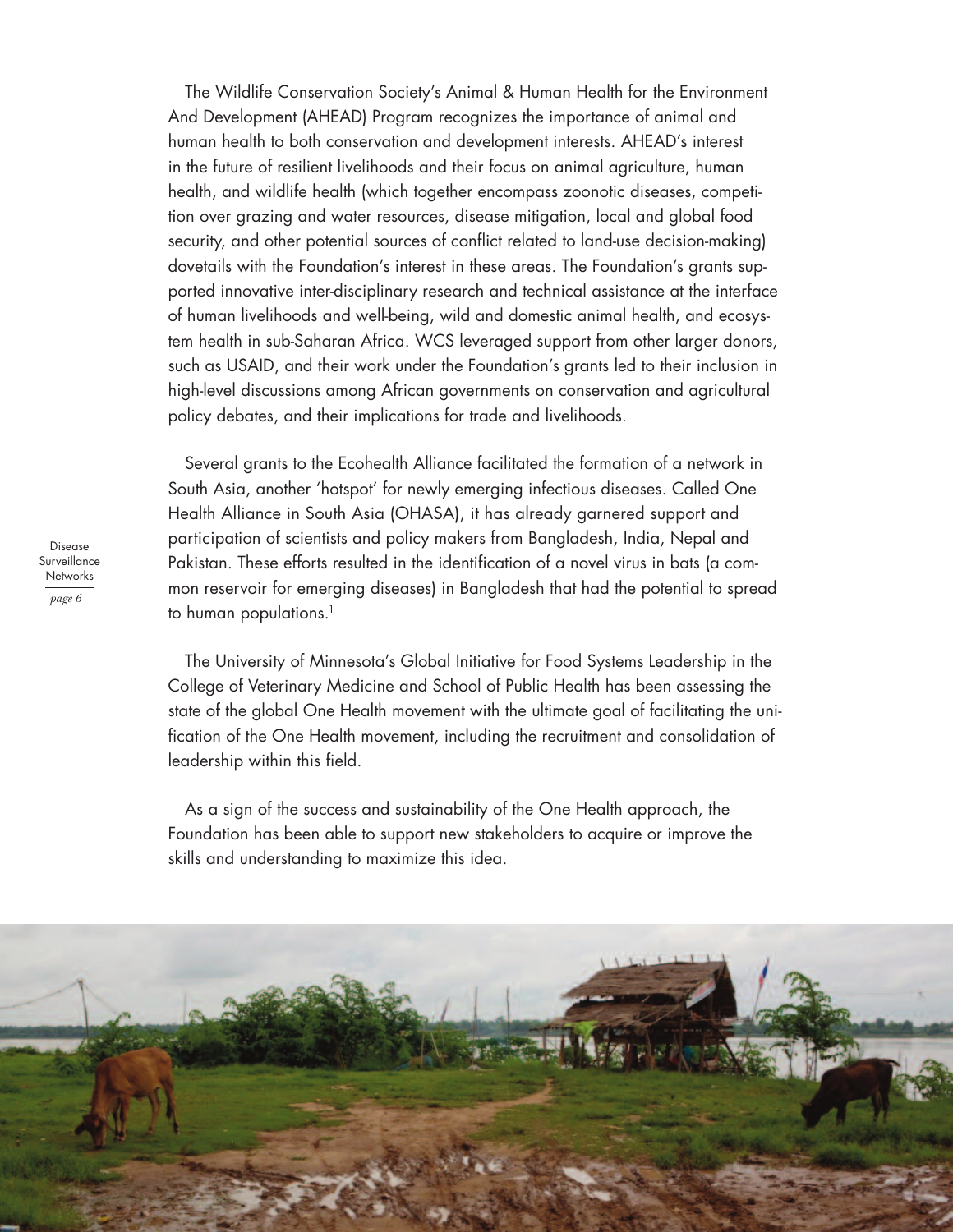The Wildlife Conservation Society's Animal & Human Health for the Environment And Development (AHEAD) Program recognizes the importance of animal and human health to both conservation and development interests. AHEAD's interest in the future of resilient livelihoods and their focus on animal agriculture, human health, and wildlife health (which together encompass zoonotic diseases, competition over grazing and water resources, disease mitigation, local and global food security, and other potential sources of conflict related to land-use decision-making) dovetails with the Foundation's interest in these areas. The Foundation's grants supported innovative inter-disciplinary research and technical assistance at the interface of human livelihoods and well-being, wild and domestic animal health, and ecosystem health in sub-Saharan Africa. WCS leveraged support from other larger donors, such as USAID, and their work under the Foundation's grants led to their inclusion in high-level discussions among African governments on conservation and agricultural policy debates, and their implications for trade and livelihoods.

Several grants to the Ecohealth Alliance facilitated the formation of a network in South Asia, another 'hotspot' for newly emerging infectious diseases. Called One Health Alliance in South Asia (OHASA), it has already garnered support and participation of scientists and policy makers from Bangladesh, India, Nepal and Pakistan. These efforts resulted in the identification of a novel virus in bats (a common reservoir for emerging diseases) in Bangladesh that had the potential to spread to human populations.<sup>1</sup>

The University of Minnesota's Global Initiative for Food Systems Leadership in the College of Veterinary Medicine and School of Public Health has been assessing the state of the global One Health movement with the ultimate goal of facilitating the unification of the One Health movement, including the recruitment and consolidation of leadership within this field.

As a sign of the success and sustainability of the One Health approach, the Foundation has been able to support new stakeholders to acquire or improve the skills and understanding to maximize this idea.



Disease **Surveillance Networks** *page 6*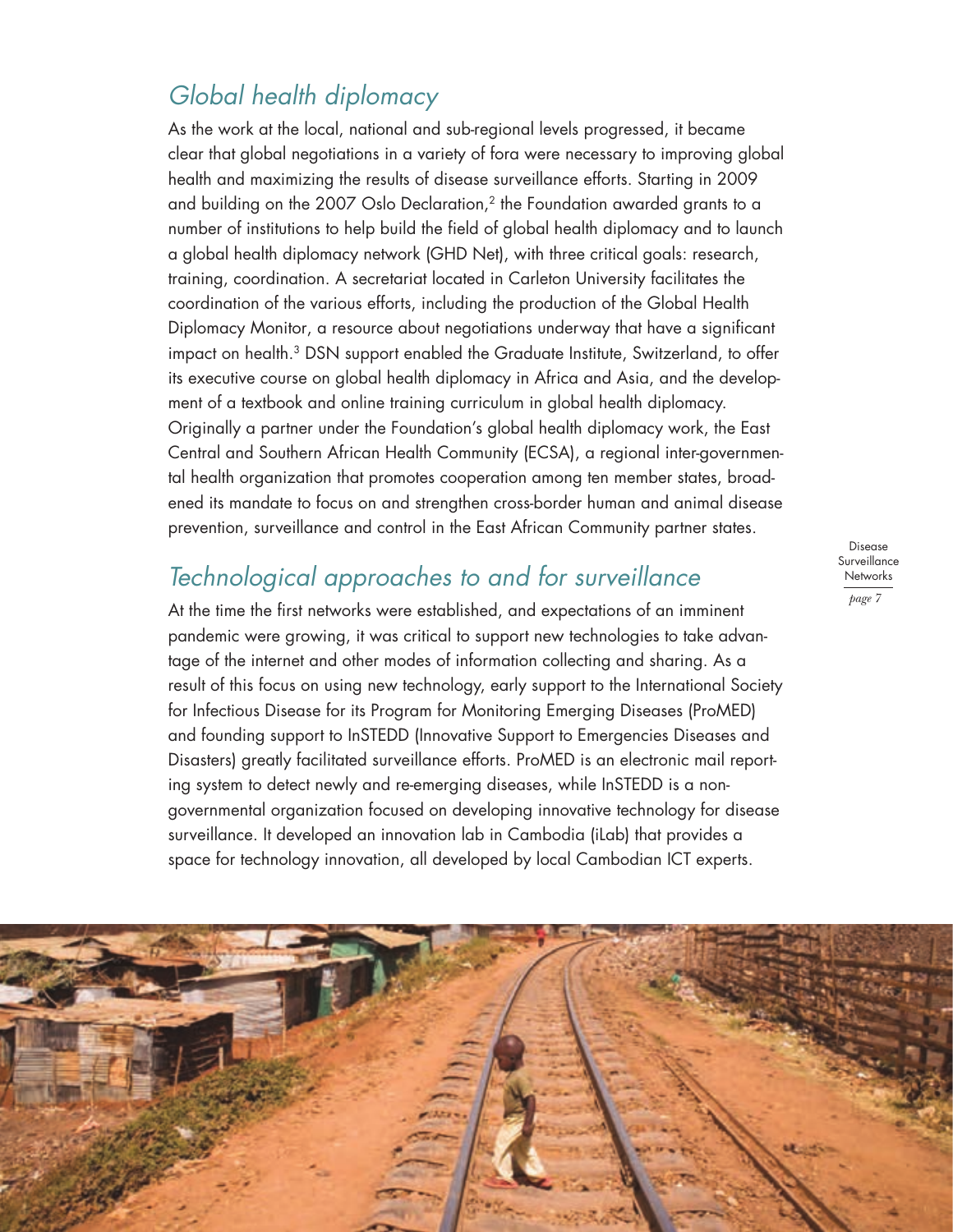#### *Global health diplomacy*

As the work at the local, national and sub-regional levels progressed, it became clear that global negotiations in a variety of fora were necessary to improving global health and maximizing the results of disease surveillance efforts. Starting in 2009 and building on the 2007 Oslo Declaration, $2$  the Foundation awarded grants to a number of institutions to help build the field of global health diplomacy and to launch a global health diplomacy network (GHD Net), with three critical goals: research, training, coordination. A secretariat located in Carleton University facilitates the coordination of the various efforts, including the production of the Global Health Diplomacy Monitor, a resource about negotiations underway that have a significant impact on health.3 DSN support enabled the Graduate Institute, Switzerland, to offer its executive course on global health diplomacy in Africa and Asia, and the development of a textbook and online training curriculum in global health diplomacy. Originally a partner under the Foundation's global health diplomacy work, the East Central and Southern African Health Community (ECSA), a regional inter-governmental health organization that promotes cooperation among ten member states, broadened its mandate to focus on and strengthen cross-border human and animal disease prevention, surveillance and control in the East African Community partner states.

#### *Technological approaches to and for surveillance*

At the time the first networks were established, and expectations of an imminent pandemic were growing, it was critical to support new technologies to take advantage of the internet and other modes of information collecting and sharing. As a result of this focus on using new technology, early support to the International Society for Infectious Disease for its Program for Monitoring Emerging Diseases (ProMED) and founding support to InSTEDD (Innovative Support to Emergencies Diseases and Disasters) greatly facilitated surveillance efforts. ProMED is an electronic mail reporting system to detect newly and re-emerging diseases, while InSTEDD is a nongovernmental organization focused on developing innovative technology for disease surveillance. It developed an innovation lab in Cambodia (iLab) that provides a space for technology innovation, all developed by local Cambodian ICT experts.

Disease **Surveillance Networks** *page 7*

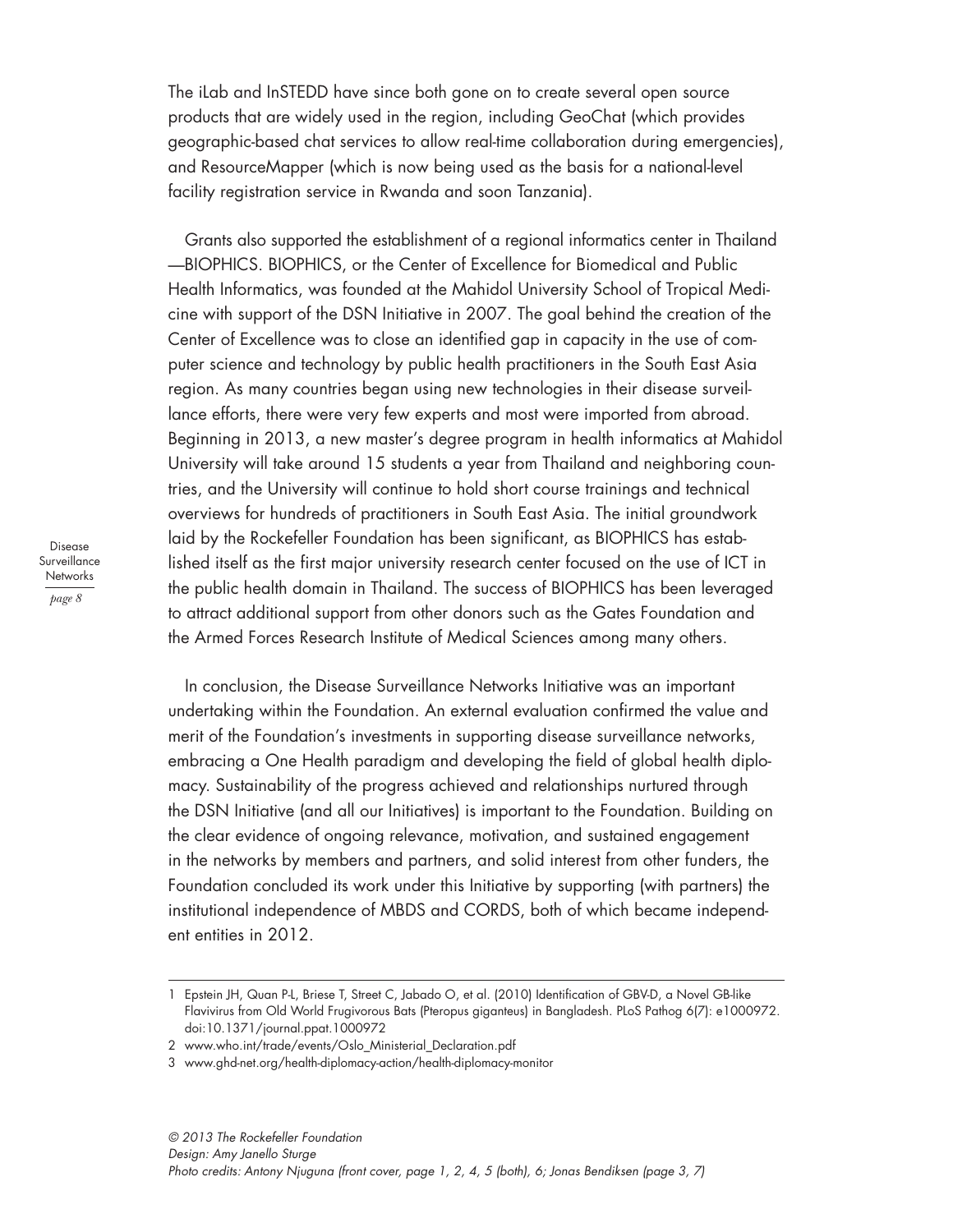The iLab and InSTEDD have since both gone on to create several open source products that are widely used in the region, including GeoChat (which provides geographic-based chat services to allow real-time collaboration during emergencies), and ResourceMapper (which is now being used as the basis for a national-level facility registration service in Rwanda and soon Tanzania).

Grants also supported the establishment of a regional informatics center in Thailand —BIOPHICS. BIOPHICS, or the Center of Excellence for Biomedical and Public Health Informatics, was founded at the Mahidol University School of Tropical Medicine with support of the DSN Initiative in 2007. The goal behind the creation of the Center of Excellence was to close an identified gap in capacity in the use of computer science and technology by public health practitioners in the South East Asia region. As many countries began using new technologies in their disease surveillance efforts, there were very few experts and most were imported from abroad. Beginning in 2013, a new master's degree program in health informatics at Mahidol University will take around 15 students a year from Thailand and neighboring countries, and the University will continue to hold short course trainings and technical overviews for hundreds of practitioners in South East Asia. The initial groundwork laid by the Rockefeller Foundation has been significant, as BIOPHICS has established itself as the first major university research center focused on the use of ICT in the public health domain in Thailand. The success of BIOPHICS has been leveraged to attract additional support from other donors such as the Gates Foundation and the Armed Forces Research Institute of Medical Sciences among many others.

In conclusion, the Disease Surveillance Networks Initiative was an important undertaking within the Foundation. An external evaluation confirmed the value and merit of the Foundation's investments in supporting disease surveillance networks, embracing a One Health paradigm and developing the field of global health diplomacy. Sustainability of the progress achieved and relationships nurtured through the DSN Initiative (and all our Initiatives) is important to the Foundation. Building on the clear evidence of ongoing relevance, motivation, and sustained engagement in the networks by members and partners, and solid interest from other funders, the Foundation concluded its work under this Initiative by supporting (with partners) the institutional independence of MBDS and CORDS, both of which became independent entities in 2012.

Disease Surveillance **Networks** *page 8*

<sup>1</sup> Epstein JH, Quan P-L, Briese T, Street C, Jabado O, et al. (2010) Identification of GBV-D, a Novel GB-like Flavivirus from Old World Frugivorous Bats (Pteropus giganteus) in Bangladesh. PLoS Pathog 6(7): e1000972. doi:10.1371/journal.ppat.1000972

<sup>2</sup> www.who.int/trade/events/Oslo\_Ministerial\_Declaration.pdf

<sup>3</sup> www.ghd-net.org/health-diplomacy-action/health-diplomacy-monitor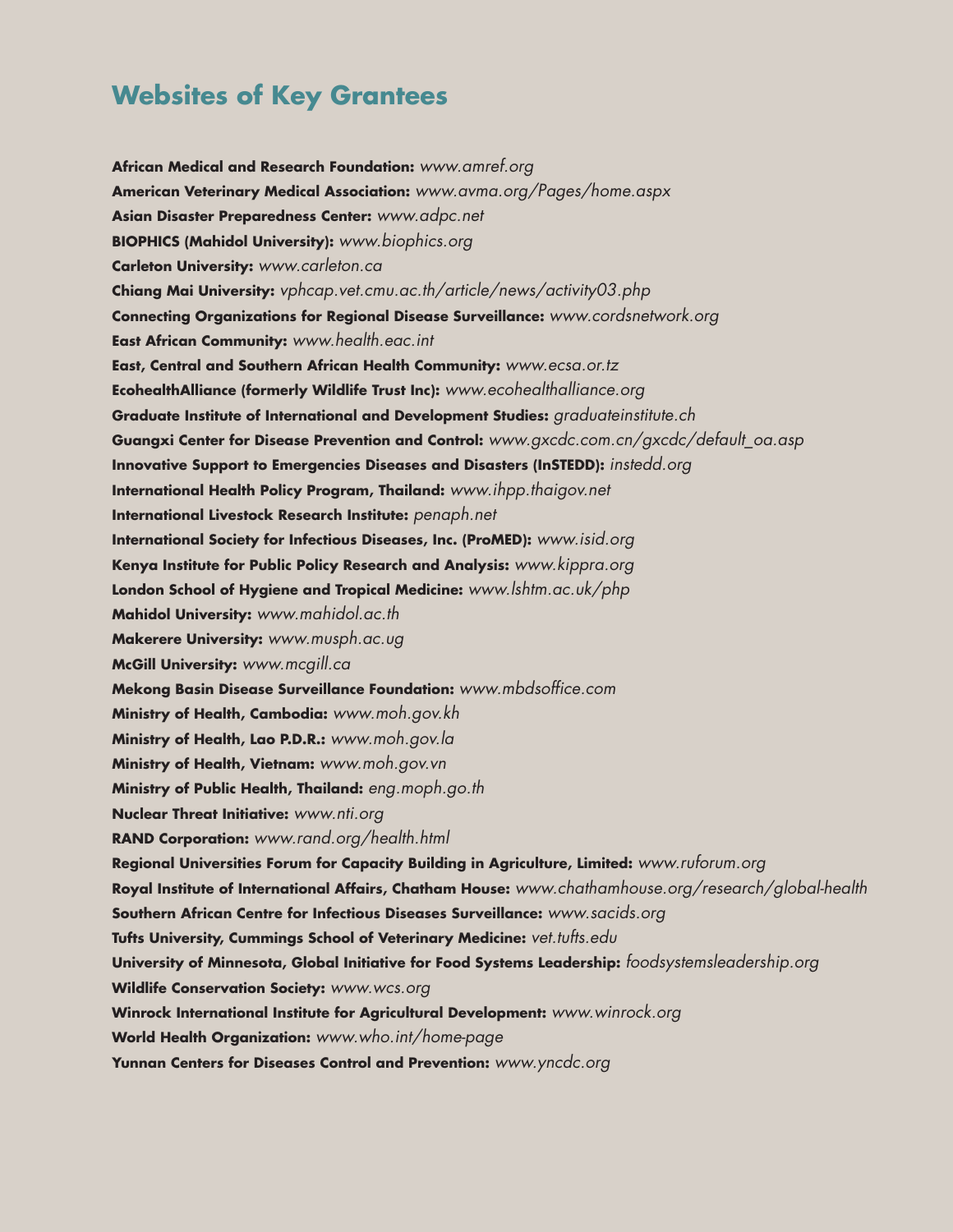#### **Websites of Key Grantees**

**African Medical and Research Foundation:** *www.amref.org* **American Veterinary Medical Association:** *www.avma.org/Pages/home.aspx* **Asian Disaster Preparedness Center:** *www.adpc.net* **BIOPHICS (Mahidol University):** *www.biophics.org* **Carleton University:** *www.carleton.ca* **Chiang Mai University:** *vphcap.vet.cmu.ac.th/article/news/activity03.php* **Connecting Organizations for Regional Disease Surveillance:** *www.cordsnetwork.org* **East African Community:** *www.health.eac.int* **East, Central and Southern African Health Community:** *www.ecsa.or.tz* **EcohealthAlliance (formerly Wildlife Trust Inc):** *www.ecohealthalliance.org* **Graduate Institute of International and Development Studies:** *graduateinstitute.ch* **Guangxi Center for Disease Prevention and Control:** *www.gxcdc.com.cn/gxcdc/default\_oa.asp* **Innovative Support to Emergencies Diseases and Disasters (InSTEDD):** *instedd.org* **International Health Policy Program, Thailand:** *www.ihpp.thaigov.net* **International Livestock Research Institute:** *penaph.net* **International Society for Infectious Diseases, Inc. (ProMED):** *www.isid.org* **Kenya Institute for Public Policy Research and Analysis:** *www.kippra.org* **London School of Hygiene and Tropical Medicine:** *www.lshtm.ac.uk/php* **Mahidol University:** *www.mahidol.ac.th* **Makerere University:** *www.musph.ac.ug* **McGill University:** *www.mcgill.ca* **Mekong Basin Disease Surveillance Foundation:** *www.mbdsoffice.com* **Ministry of Health, Cambodia:** *www.moh.gov.kh* **Ministry of Health, Lao P.D.R.:** *www.moh.gov.la* **Ministry of Health, Vietnam:** *www.moh.gov.vn* **Ministry of Public Health, Thailand:** *eng.moph.go.th* **Nuclear Threat Initiative:** *www.nti.org* **RAND Corporation:** *www.rand.org/health.html* **Regional Universities Forum for Capacity Building in Agriculture, Limited:** *www.ruforum.org* **Royal Institute of International Affairs, Chatham House:** *www.chathamhouse.org/research/global-health* **Southern African Centre for Infectious Diseases Surveillance:** *www.sacids.org* **Tufts University, Cummings School of Veterinary Medicine:** *vet.tufts.edu* **University of Minnesota, Global Initiative for Food Systems Leadership:** *foodsystemsleadership.org* **Wildlife Conservation Society:** *www.wcs.org* **Winrock International Institute for Agricultural Development:** *www.winrock.org* **World Health Organization:** *www.who.int/home-page* **Yunnan Centers for Diseases Control and Prevention:** *www.yncdc.org*